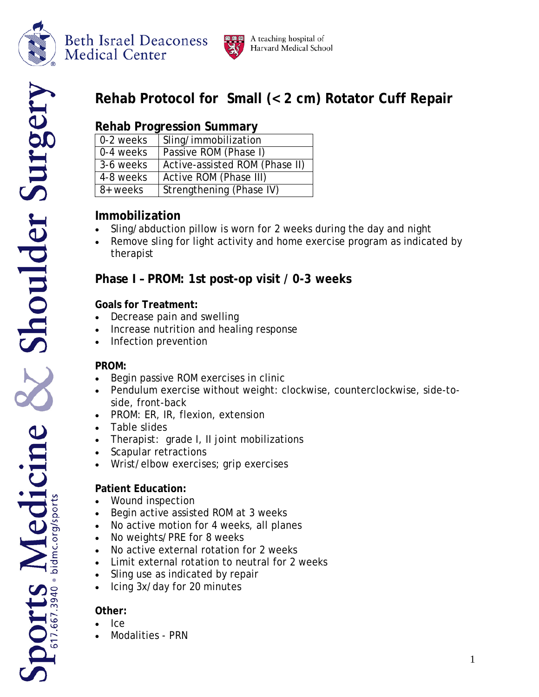

**Beth Israel Deaconess Medical Center** 



# ports Medicine & Shoulder Surgery **Rehab Protocol for Small (< 2 cm) Rotator Cuff Repair Rehab Progression Summary** 0-2 weeks  $\vert$  Sling/immobilization 0-4 weeks | Passive ROM (Phase I) 3-6 weeks | Active-assisted ROM (Phase II) 4-8 weeks | Active ROM (Phase III)  $8+$  weeks Strengthening (Phase IV) **Immobilization** • Sling/abduction pillow is worn for 2 weeks during the day and night Remove sling for light activity and home exercise program as indicated by therapist **Phase I – PROM: 1st post-op visit / 0-3 weeks Goals for Treatment:** • Decrease pain and swelling • Increase nutrition and healing response • Infection prevention

## **PROM:**

- Begin passive ROM exercises in clinic
- Pendulum exercise without weight: clockwise, counterclockwise, side-toside, front-back
- PROM: ER, IR, flexion, extension
- Table slides
- Therapist: grade I, II joint mobilizations
- Scapular retractions
- Wrist/elbow exercises; grip exercises

## **Patient Education:**

- Wound inspection
- Begin active assisted ROM at 3 weeks
- No active motion for 4 weeks, all planes
- No weights/PRE for 8 weeks
- No active external rotation for 2 weeks
- Limit external rotation to neutral for 2 weeks
- Sling use as indicated by repair
- Icing 3x/day for 20 minutes

## **Other:**

• Ice

• Modalities - PRN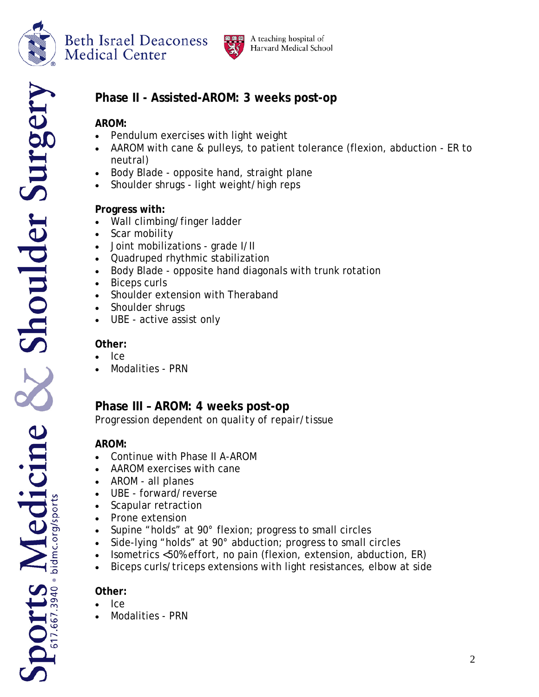

## **Beth Israel Deaconess Medical Center**



## **Phase II - Assisted-AROM: 3 weeks post-op**

## **AROM:**

- Pendulum exercises with light weight
- AAROM with cane & pulleys, to patient tolerance (flexion, abduction ER to neutral)
- Body Blade opposite hand, straight plane
- Shoulder shrugs light weight/high reps

## **Progress with:**

- Wall climbing/finger ladder
- Scar mobility
- Joint mobilizations grade I/II
- Quadruped rhythmic stabilization
- Body Blade opposite hand diagonals with trunk rotation
- Biceps curls
- Shoulder extension with Theraband
- Shoulder shrugs
- UBE active assist only

#### **Other:**

- Ice
- Modalities PRN

## **Phase III – AROM: 4 weeks post-op**

*Progression dependent on quality of repair/tissue*

## **AROM:**

- Continue with Phase II A-AROM
- AAROM exercises with cane
- AROM all planes
- UBE forward/reverse
- Scapular retraction
- Prone extension
- Supine "holds" at 90° flexion; progress to small circles
- Side-lying "holds" at 90° abduction; progress to small circles
- Isometrics <50% effort, no pain (flexion, extension, abduction, ER)
- Biceps curls/triceps extensions with light resistances, elbow at side

## **Other:**

- Ice
- Modalities PRN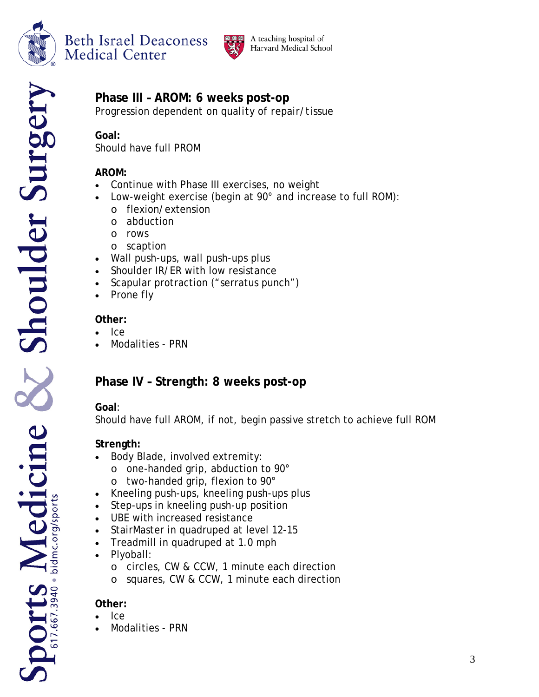



A teaching hospital of Harvard Medical School

## **Phase III – AROM: 6 weeks post-op**

*Progression dependent on quality of repair/tissue*

## **Goal:**

Should have full PROM

## **AROM:**

- Continue with Phase III exercises, no weight
- Low-weight exercise (begin at 90° and increase to full ROM):
	- o flexion/extension
	- o abduction
	- o rows
	- scaption
- Wall push-ups, wall push-ups plus
- Shoulder IR/ER with low resistance
- Scapular protraction ("serratus punch")
- Prone fly

#### **Other:**

- Ice
- Modalities PRN

## **Phase IV – Strength: 8 weeks post-op**

## **Goal**:

Should have full AROM, if not, begin passive stretch to achieve full ROM

## **Strength:**

- Body Blade, involved extremity:
	- o one-handed grip, abduction to 90°
	- o two-handed grip, flexion to 90°
- Kneeling push-ups, kneeling push-ups plus
- Step-ups in kneeling push-up position
- UBE with increased resistance
- StairMaster in quadruped at level 12-15
- Treadmill in quadruped at 1.0 mph
- Plyoball:
	- o circles, CW & CCW, 1 minute each direction
	- o squares, CW & CCW, 1 minute each direction

## **Other:**

- Ice
- Modalities PRN